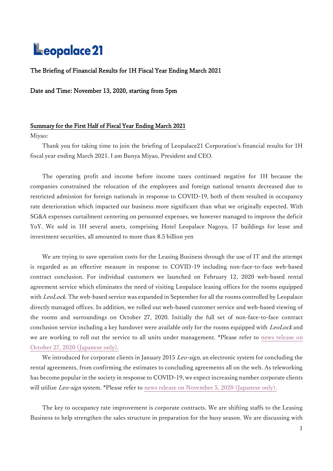# Leopalace 21

# The Briefing of Financial Results for 1H Fiscal Year Ending March 2021

# Date and Time: November 13, 2020, starting from 5pm

# Summary for the First Half of Fiscal Year Ending March 2021

### Miyao:

Thank you for taking time to join the briefing of Leopalace21 Corporation's financial results for 1H fiscal year ending March 2021. I am Bunya Miyao, President and CEO.

The operating profit and income before income taxes continued negative for 1H because the companies constrained the relocation of the employees and foreign national tenants decreased due to restricted admission for foreign nationals in response to COVID-19, both of them resulted in occupancy rate deterioration which impacted our business more significant than what we originally expected. With SG&A expenses curtailment centering on personnel expenses, we however managed to improve the deficit YoY. We sold in 1H several assets, comprising Hotel Leopalace Nagoya, 17 buildings for lease and investment securities, all amounted to more than 8.5 billion yen

We are trying to save operation costs for the Leasing Business through the use of IT and the attempt is regarded as an effective measure in response to COVID-19 including non-face-to-face web-based contract conclusion. For individual customers we launched on February 12, 2020 web-based rental agreement service which eliminates the need of visiting Leopalace leasing offices for the rooms equipped with LeoLock. The web-based service was expanded in September for all the rooms controlled by Leopalace directly managed offices. In addition, we rolled out web-based customer service and web-based viewing of the rooms and surroundings on October 27, 2020. Initially the full set of non-face-to-face contract conclusion service including a key handover were available only for the rooms equipped with LeoLock and we are working to roll out the service to all units under management. \*Please refer to [news release on](https://www.leopalace21.co.jp/news/2020/1027_3168.html)  [October 27, 2020](https://www.leopalace21.co.jp/news/2020/1027_3168.html) (Japanese only).

We introduced for corporate clients in January 2015 Leo-sign, an electronic system for concluding the rental agreements, from confirming the estimates to concluding agreements all on the web. As teleworking has become popular in the society in response to COVID-19, we expect increasing number corporate clients will utilize Leo-sign system. \*Please refer to [news release on November 5, 2020](https://www.leopalace21.co.jp/news/2020/1105_3174.html) (Japanese only).

The key to occupancy rate improvement is corporate contracts. We are shifting staffs to the Leasing Business to help strengthen the sales structure in preparation for the busy season. We are discussing with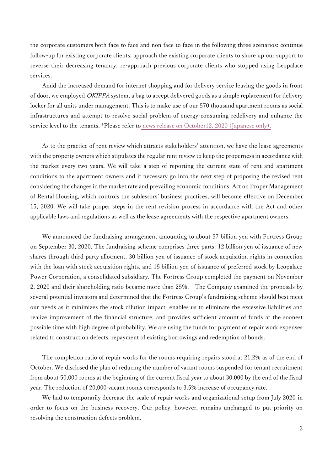the corporate customers both face to face and non face to face in the following three scenarios: continue follow-up for existing corporate clients; approach the existing corporate clients to shore up our support to reverse their decreasing tenancy; re-approach previous corporate clients who stopped using Leopalace services.

Amid the increased demand for internet shopping and for delivery service leaving the goods in front of door, we employed OKIPPA system, a bag to accept delivered goods as a simple replacement for delivery locker for all units under management. This is to make use of our 570 thousand apartment rooms as social infrastructures and attempt to resolve social problem of energy-consuming redelivery and enhance the service level to the tenants. \*Please refer to [news release on October12, 2020](https://www.leopalace21.co.jp/news/2020/1012_3161.html) (Japanese only).

As to the practice of rent review which attracts stakeholders' attention, we have the lease agreements with the property owners which stipulates the regular rent review to keep the properness in accordance with the market every two years. We will take a step of reporting the current state of rent and apartment conditions to the apartment owners and if necessary go into the next step of proposing the revised rent considering the changes in the market rate and prevailing economic conditions. Act on Proper Management of Rental Housing, which controls the sublessors' business practices, will become effective on December 15, 2020. We will take proper steps in the rent revision process in accordance with the Act and other applicable laws and regulations as well as the lease agreements with the respective apartment owners.

We announced the fundraising arrangement amounting to about 57 billion yen with Fortress Group on September 30, 2020. The fundraising scheme comprises three parts: 12 billion yen of issuance of new shares through third party allotment, 30 billion yen of issuance of stock acquisition rights in connection with the loan with stock acquisition rights, and 15 billion yen of issuance of preferred stock by Leopalace Power Corporation, a consolidated subsidiary. The Fortress Group completed the payment on November 2, 2020 and their shareholding ratio became more than 25%. The Company examined the proposals by several potential investors and determined that the Fortress Group's fundraising scheme should best meet our needs as it minimizes the stock dilution impact, enables us to eliminate the excessive liabilities and realize improvement of the financial structure, and provides sufficient amount of funds at the soonest possible time with high degree of probability. We are using the funds for payment of repair work expenses related to construction defects, repayment of existing borrowings and redemption of bonds.

The completion ratio of repair works for the rooms requiring repairs stood at 21.2% as of the end of October. We disclosed the plan of reducing the number of vacant rooms suspended for tenant recruitment from about 50,000 rooms at the beginning of the current fiscal year to about 30,000 by the end of the fiscal year. The reduction of 20,000 vacant rooms corresponds to 3.5% increase of occupancy rate.

We had to temporarily decrease the scale of repair works and organizational setup from July 2020 in order to focus on the business recovery. Our policy, however, remains unchanged to put priority on resolving the construction defects problem.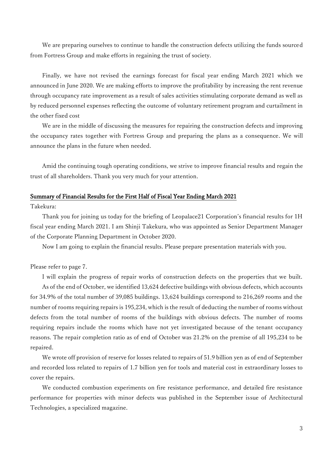We are preparing ourselves to continue to handle the construction defects utilizing the funds sourced from Fortress Group and make efforts in regaining the trust of society.

 Finally, we have not revised the earnings forecast for fiscal year ending March 2021 which we announced in June 2020. We are making efforts to improve the profitability by increasing the rent revenue through occupancy rate improvement as a result of sales activities stimulating corporate demand as well as by reduced personnel expenses reflecting the outcome of voluntary retirement program and curtailment in the other fixed cost

We are in the middle of discussing the measures for repairing the construction defects and improving the occupancy rates together with Fortress Group and preparing the plans as a consequence. We will announce the plans in the future when needed.

Amid the continuing tough operating conditions, we strive to improve financial results and regain the trust of all shareholders. Thank you very much for your attention.

### Summary of Financial Results for the First Half of Fiscal Year Ending March 2021

Takekura:

Thank you for joining us today for the briefing of Leopalace21 Corporation's financial results for 1H fiscal year ending March 2021. I am Shinji Takekura, who was appointed as Senior Department Manager of the Corporate Planning Department in October 2020.

Now I am going to explain the financial results. Please prepare presentation materials with you.

# Please refer to page 7.

I will explain the progress of repair works of construction defects on the properties that we built.

As of the end of October, we identified 13,624 defective buildings with obvious defects, which accounts for 34.9% of the total number of 39,085 buildings. 13,624 buildings correspond to 216,269 rooms and the number of rooms requiring repairs is 195,234, which is the result of deducting the number of rooms without defects from the total number of rooms of the buildings with obvious defects. The number of rooms requiring repairs include the rooms which have not yet investigated because of the tenant occupancy reasons. The repair completion ratio as of end of October was 21.2% on the premise of all 195,234 to be repaired.

We wrote off provision of reserve for losses related to repairs of 51.9 billion yen as of end of September and recorded loss related to repairs of 1.7 billion yen for tools and material cost in extraordinary losses to cover the repairs.

We conducted combustion experiments on fire resistance performance, and detailed fire resistance performance for properties with minor defects was published in the September issue of Architectural Technologies, a specialized magazine.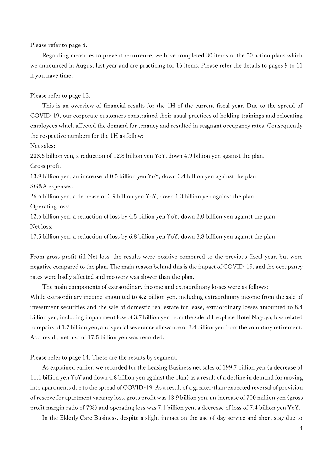Please refer to page 8.

Regarding measures to prevent recurrence, we have completed 30 items of the 50 action plans which we announced in August last year and are practicing for 16 items. Please refer the details to pages 9 to 11 if you have time.

Please refer to page 13.

This is an overview of financial results for the 1H of the current fiscal year. Due to the spread of COVID-19, our corporate customers constrained their usual practices of holding trainings and relocating employees which affected the demand for tenancy and resulted in stagnant occupancy rates. Consequently the respective numbers for the 1H as follow:

Net sales:

208.6 billion yen, a reduction of 12.8 billion yen YoY, down 4.9 billion yen against the plan. Gross profit:

13.9 billion yen, an increase of 0.5 billion yen YoY, down 3.4 billion yen against the plan.

SG&A expenses:

26.6 billion yen, a decrease of 3.9 billion yen YoY, down 1.3 billion yen against the plan.

Operating loss:

12.6 billion yen, a reduction of loss by 4.5 billion yen YoY, down 2.0 billion yen against the plan. Net loss:

17.5 billion yen, a reduction of loss by 6.8 billion yen YoY, down 3.8 billion yen against the plan.

From gross profit till Net loss, the results were positive compared to the previous fiscal year, but were negative compared to the plan. The main reason behind this is the impact of COVID-19, and the occupancy rates were badly affected and recovery was slower than the plan.

The main components of extraordinary income and extraordinary losses were as follows:

While extraordinary income amounted to 4.2 billion yen, including extraordinary income from the sale of investment securities and the sale of domestic real estate for lease, extraordinary losses amounted to 8.4 billion yen, including impairment loss of 3.7 billion yen from the sale of Leoplace Hotel Nagoya, loss related to repairs of 1.7 billion yen, and special severance allowance of 2.4 billion yen from the voluntary retirement. As a result, net loss of 17.5 billion yen was recorded.

Please refer to page 14. These are the results by segment.

As explained earlier, we recorded for the Leasing Business net sales of 199.7 billion yen (a decrease of 11.1 billion yen YoY and down 4.8 billion yen against the plan) as a result of a decline in demand for moving into apartments due to the spread of COVID-19. As a result of a greater-than-expected reversal of provision of reserve for apartment vacancy loss, gross profit was 13.9 billion yen, an increase of 700 million yen (gross profit margin ratio of 7%) and operating loss was 7.1 billion yen, a decrease of loss of 7.4 billion yen YoY.

In the Elderly Care Business, despite a slight impact on the use of day service and short stay due to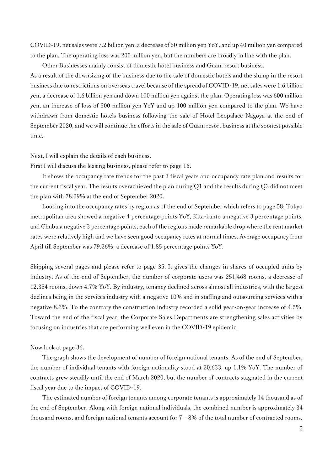COVID-19, net sales were 7.2 billion yen, a decrease of 50 million yen YoY, and up 40 million yen compared to the plan. The operating loss was 200 million yen, but the numbers are broadly in line with the plan.

Other Businesses mainly consist of domestic hotel business and Guam resort business.

As a result of the downsizing of the business due to the sale of domestic hotels and the slump in the resort business due to restrictions on overseas travel because of the spread of COVID-19, net sales were 1.6 billion yen, a decrease of 1.6 billion yen and down 100 million yen against the plan. Operating loss was 600 million yen, an increase of loss of 500 million yen YoY and up 100 million yen compared to the plan. We have withdrawn from domestic hotels business following the sale of Hotel Leopalace Nagoya at the end of September 2020, and we will continue the efforts in the sale of Guam resort business at the soonest possible time.

### Next, I will explain the details of each business.

First I will discuss the leasing business, please refer to page 16.

It shows the occupancy rate trends for the past 3 fiscal years and occupancy rate plan and results for the current fiscal year. The results overachieved the plan during Q1 and the results during Q2 did not meet the plan with 78.09% at the end of September 2020.

Looking into the occupancy rates by region as of the end of September which refers to page 58, Tokyo metropolitan area showed a negative 4 percentage points YoY, Kita-kanto a negative 3 percentage points, and Chubu a negative 3 percentage points, each of the regions made remarkable drop where the rent market rates were relatively high and we have seen good occupancy rates at normal times. Average occupancy from April till September was 79.26%, a decrease of 1.85 percentage points YoY.

Skipping several pages and please refer to page 35. It gives the changes in shares of occupied units by industry. As of the end of September, the number of corporate users was 251,468 rooms, a decrease of 12,354 rooms, down 4.7% YoY. By industry, tenancy declined across almost all industries, with the largest declines being in the services industry with a negative 10% and in staffing and outsourcing services with a negative 8.2%. To the contrary the construction industry recorded a solid year-on-year increase of 4.5%. Toward the end of the fiscal year, the Corporate Sales Departments are strengthening sales activities by focusing on industries that are performing well even in the COVID-19 epidemic.

### Now look at page 36.

The graph shows the development of number of foreign national tenants. As of the end of September, the number of individual tenants with foreign nationality stood at 20,633, up 1.1% YoY. The number of contracts grew steadily until the end of March 2020, but the number of contracts stagnated in the current fiscal year due to the impact of COVID-19.

The estimated number of foreign tenants among corporate tenants is approximately 14 thousand as of the end of September. Along with foreign national individuals, the combined number is approximately 34 thousand rooms, and foreign national tenants account for  $7 - 8%$  of the total number of contracted rooms.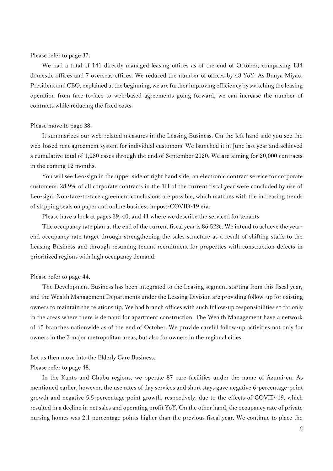### Please refer to page 37.

We had a total of 141 directly managed leasing offices as of the end of October, comprising 134 domestic offices and 7 overseas offices. We reduced the number of offices by 48 YoY. As Bunya Miyao, President and CEO, explained at the beginning, we are further improving efficiency by switching the leasing operation from face-to-face to web-based agreements going forward, we can increase the number of contracts while reducing the fixed costs.

### Please move to page 38.

It summarizes our web-related measures in the Leasing Business. On the left hand side you see the web-based rent agreement system for individual customers. We launched it in June last year and achieved a cumulative total of 1,080 cases through the end of September 2020. We are aiming for 20,000 contracts in the coming 12 months.

You will see Leo-sign in the upper side of right hand side, an electronic contract service for corporate customers. 28.9% of all corporate contracts in the 1H of the current fiscal year were concluded by use of Leo-sign. Non-face-to-face agreement conclusions are possible, which matches with the increasing trends of skipping seals on paper and online business in post-COVID-19 era.

Please have a look at pages 39, 40, and 41 where we describe the serviced for tenants.

The occupancy rate plan at the end of the current fiscal year is 86.52%. We intend to achieve the yearend occupancy rate target through strengthening the sales structure as a result of shifting staffs to the Leasing Business and through resuming tenant recruitment for properties with construction defects in prioritized regions with high occupancy demand.

### Please refer to page 44.

The Development Business has been integrated to the Leasing segment starting from this fiscal year, and the Wealth Management Departments under the Leasing Division are providing follow-up for existing owners to maintain the relationship. We had branch offices with such follow-up responsibilities so far only in the areas where there is demand for apartment construction. The Wealth Management have a network of 65 branches nationwide as of the end of October. We provide careful follow-up activities not only for owners in the 3 major metropolitan areas, but also for owners in the regional cities.

Let us then move into the Elderly Care Business. Please refer to page 48.

In the Kanto and Chubu regions, we operate 87 care facilities under the name of Azumi-en. As mentioned earlier, however, the use rates of day services and short stays gave negative 6-percentage-point growth and negative 5.5-percentage-point growth, respectively, due to the effects of COVID-19, which resulted in a decline in net sales and operating profit YoY. On the other hand, the occupancy rate of private nursing homes was 2.1 percentage points higher than the previous fiscal year. We continue to place the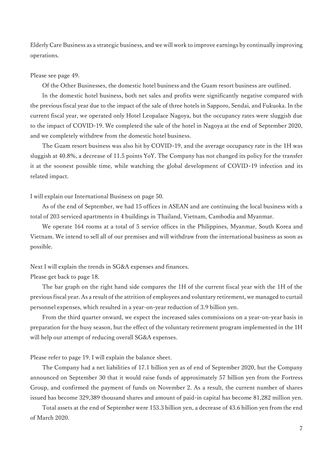Elderly Care Business as a strategic business, and we will work to improve earnings by continually improving operations.

#### Please see page 49.

Of the Other Businesses, the domestic hotel business and the Guam resort business are outlined.

In the domestic hotel business, both net sales and profits were significantly negative compared with the previous fiscal year due to the impact of the sale of three hotels in Sapporo, Sendai, and Fukuoka. In the current fiscal year, we operated only Hotel Leopalace Nagoya, but the occupancy rates were sluggish due to the impact of COVID-19. We completed the sale of the hotel in Nagoya at the end of September 2020, and we completely withdrew from the domestic hotel business.

The Guam resort business was also hit by COVID-19, and the average occupancy rate in the 1H was sluggish at 40.8%, a decrease of 11.5 points YoY. The Company has not changed its policy for the transfer it at the soonest possible time, while watching the global development of COVID-19 infection and its related impact.

#### I will explain our International Business on page 50.

As of the end of September, we had 15 offices in ASEAN and are continuing the local business with a total of 203 serviced apartments in 4 buildings in Thailand, Vietnam, Cambodia and Myanmar.

We operate 164 rooms at a total of 5 service offices in the Philippines, Myanmar, South Korea and Vietnam. We intend to sell all of our premises and will withdraw from the international business as soon as possible.

### Next I will explain the trends in SG&A expenses and finances.

#### Please get back to page 18.

The bar graph on the right hand side compares the 1H of the current fiscal year with the 1H of the previous fiscal year. As a result of the attrition of employees and voluntary retirement, we managed to curtail personnel expenses, which resulted in a year-on-year reduction of 3.9 billion yen.

From the third quarter onward, we expect the increased sales commissions on a year-on-year basis in preparation for the busy season, but the effect of the voluntary retirement program implemented in the 1H will help our attempt of reducing overall SG&A expenses.

Please refer to page 19. I will explain the balance sheet.

The Company had a net liabilities of 17.1 billion yen as of end of September 2020, but the Company announced on September 30 that it would raise funds of approximately 57 billion yen from the Fortress Group, and confirmed the payment of funds on November 2. As a result, the current number of shares issued has become 329,389 thousand shares and amount of paid-in capital has become 81,282 million yen.

Total assets at the end of September were 153.3 billion yen, a decrease of 43.6 billion yen from the end of March 2020.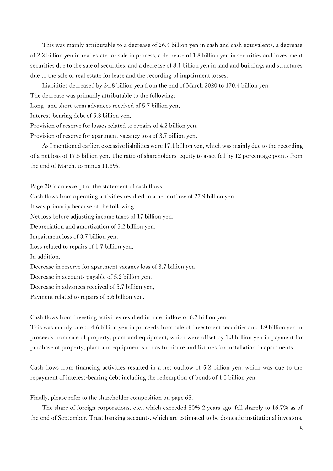This was mainly attributable to a decrease of 26.4 billion yen in cash and cash equivalents, a decrease of 2.2 billion yen in real estate for sale in process, a decrease of 1.8 billion yen in securities and investment securities due to the sale of securities, and a decrease of 8.1 billion yen in land and buildings and structures due to the sale of real estate for lease and the recording of impairment losses.

Liabilities decreased by 24.8 billion yen from the end of March 2020 to 170.4 billion yen.

The decrease was primarily attributable to the following:

Long- and short-term advances received of 5.7 billion yen,

Interest-bearing debt of 5.3 billion yen,

Provision of reserve for losses related to repairs of 4.2 billion yen,

Provision of reserve for apartment vacancy loss of 3.7 billion yen.

As I mentioned earlier, excessive liabilities were 17.1 billion yen, which was mainly due to the recording of a net loss of 17.5 billion yen. The ratio of shareholders' equity to asset fell by 12 percentage points from the end of March, to minus 11.3%.

Page 20 is an excerpt of the statement of cash flows.

Cash flows from operating activities resulted in a net outflow of 27.9 billion yen.

It was primarily because of the following:

Net loss before adjusting income taxes of 17 billion yen,

Depreciation and amortization of 5.2 billion yen,

Impairment loss of 3.7 billion yen,

Loss related to repairs of 1.7 billion yen,

In addition,

Decrease in reserve for apartment vacancy loss of 3.7 billion yen,

Decrease in accounts payable of 5.2 billion yen,

Decrease in advances received of 5.7 billion yen,

Payment related to repairs of 5.6 billion yen.

Cash flows from investing activities resulted in a net inflow of 6.7 billion yen.

This was mainly due to 4.6 billion yen in proceeds from sale of investment securities and 3.9 billion yen in proceeds from sale of property, plant and equipment, which were offset by 1.3 billion yen in payment for purchase of property, plant and equipment such as furniture and fixtures for installation in apartments.

Cash flows from financing activities resulted in a net outflow of 5.2 billion yen, which was due to the repayment of interest-bearing debt including the redemption of bonds of 1.5 billion yen.

Finally, please refer to the shareholder composition on page 65.

The share of foreign corporations, etc., which exceeded 50% 2 years ago, fell sharply to 16.7% as of the end of September. Trust banking accounts, which are estimated to be domestic institutional investors,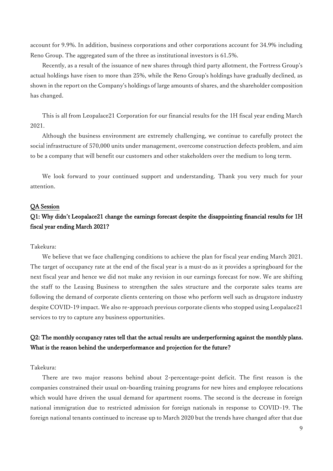account for 9.9%. In addition, business corporations and other corporations account for 34.9% including Reno Group. The aggregated sum of the three as institutional investors is 61.5%.

Recently, as a result of the issuance of new shares through third party allotment, the Fortress Group's actual holdings have risen to more than 25%, while the Reno Group's holdings have gradually declined, as shown in the report on the Company's holdings of large amounts of shares, and the shareholder composition has changed.

This is all from Leopalace21 Corporation for our financial results for the 1H fiscal year ending March 2021.

Although the business environment are extremely challenging, we continue to carefully protect the social infrastructure of 570,000 units under management, overcome construction defects problem, and aim to be a company that will benefit our customers and other stakeholders over the medium to long term.

We look forward to your continued support and understanding. Thank you very much for your attention.

### QA Session

# Q1: Why didn't Leopalace21 change the earnings forecast despite the disappointing financial results for 1H fiscal year ending March 2021?

### Takekura:

We believe that we face challenging conditions to achieve the plan for fiscal year ending March 2021. The target of occupancy rate at the end of the fiscal year is a must-do as it provides a springboard for the next fiscal year and hence we did not make any revision in our earnings forecast for now. We are shifting the staff to the Leasing Business to strengthen the sales structure and the corporate sales teams are following the demand of corporate clients centering on those who perform well such as drugstore industry despite COVID-19 impact. We also re-approach previous corporate clients who stopped using Leopalace21 services to try to capture any business opportunities.

# Q2: The monthly occupancy rates tell that the actual results are underperforming against the monthly plans. What is the reason behind the underperformance and projection for the future?

### Takekura:

There are two major reasons behind about 2-percentage-point deficit. The first reason is the companies constrained their usual on-boarding training programs for new hires and employee relocations which would have driven the usual demand for apartment rooms. The second is the decrease in foreign national immigration due to restricted admission for foreign nationals in response to COVID-19. The foreign national tenants continued to increase up to March 2020 but the trends have changed after that due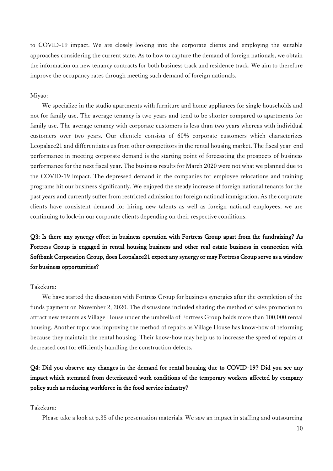to COVID-19 impact. We are closely looking into the corporate clients and employing the suitable approaches considering the current state. As to how to capture the demand of foreign nationals, we obtain the information on new tenancy contracts for both business track and residence track. We aim to therefore improve the occupancy rates through meeting such demand of foreign nationals.

### Miyao:

We specialize in the studio apartments with furniture and home appliances for single households and not for family use. The average tenancy is two years and tend to be shorter compared to apartments for family use. The average tenancy with corporate customers is less than two years whereas with individual customers over two years. Our clientele consists of 60% corporate customers which characterizes Leopalace21 and differentiates us from other competitors in the rental housing market. The fiscal year-end performance in meeting corporate demand is the starting point of forecasting the prospects of business performance for the next fiscal year. The business results for March 2020 were not what we planned due to the COVID-19 impact. The depressed demand in the companies for employee relocations and training programs hit our business significantly. We enjoyed the steady increase of foreign national tenants for the past years and currently suffer from restricted admission for foreign national immigration. As the corporate clients have consistent demand for hiring new talents as well as foreign national employees, we are continuing to lock-in our corporate clients depending on their respective conditions.

# Q3: Is there any synergy effect in business operation with Fortress Group apart from the fundraising? As Fortress Group is engaged in rental housing business and other real estate business in connection with Softbank Corporation Group, does Leopalace21 expect any synergy or may Fortress Group serve as a window for business opportunities?

### Takekura:

We have started the discussion with Fortress Group for business synergies after the completion of the funds payment on November 2, 2020. The discussions included sharing the method of sales promotion to attract new tenants as Village House under the umbrella of Fortress Group holds more than 100,000 rental housing. Another topic was improving the method of repairs as Village House has know-how of reforming because they maintain the rental housing. Their know-how may help us to increase the speed of repairs at decreased cost for efficiently handling the construction defects.

Q4: Did you observe any changes in the demand for rental housing due to COVID-19? Did you see any impact which stemmed from deteriorated work conditions of the temporary workers affected by company policy such as reducing workforce in the food service industry?

### Takekura:

Please take a look at p.35 of the presentation materials. We saw an impact in staffing and outsourcing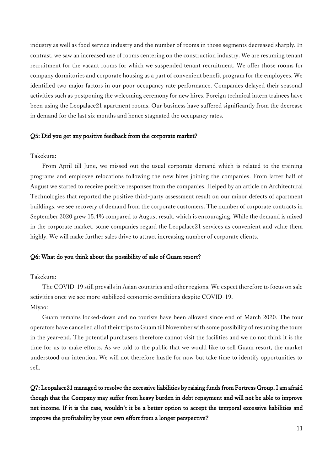industry as well as food service industry and the number of rooms in those segments decreased sharply. In contrast, we saw an increased use of rooms centering on the construction industry. We are resuming tenant recruitment for the vacant rooms for which we suspended tenant recruitment. We offer those rooms for company dormitories and corporate housing as a part of convenient benefit program for the employees. We identified two major factors in our poor occupancy rate performance. Companies delayed their seasonal activities such as postponing the welcoming ceremony for new hires. Foreign technical intern trainees have been using the Leopalace21 apartment rooms. Our business have suffered significantly from the decrease in demand for the last six months and hence stagnated the occupancy rates.

### Q5: Did you get any positive feedback from the corporate market?

# Takekura:

From April till June, we missed out the usual corporate demand which is related to the training programs and employee relocations following the new hires joining the companies. From latter half of August we started to receive positive responses from the companies. Helped by an article on Architectural Technologies that reported the positive third-party assessment result on our minor defects of apartment buildings, we see recovery of demand from the corporate customers. The number of corporate contracts in September 2020 grew 15.4% compared to August result, which is encouraging. While the demand is mixed in the corporate market, some companies regard the Leopalace21 services as convenient and value them highly. We will make further sales drive to attract increasing number of corporate clients.

### Q6: What do you think about the possibility of sale of Guam resort?

### Takekura:

The COVID-19 still prevails in Asian countries and other regions. We expect therefore to focus on sale activities once we see more stabilized economic conditions despite COVID-19. Miyao:

Guam remains locked-down and no tourists have been allowed since end of March 2020. The tour operators have cancelled all of their trips to Guam till November with some possibility of resuming the tours in the year-end. The potential purchasers therefore cannot visit the facilities and we do not think it is the time for us to make efforts. As we told to the public that we would like to sell Guam resort, the market understood our intention. We will not therefore hustle for now but take time to identify opportunities to sell.

Q7: Leopalace21 managed to resolve the excessive liabilities by raising funds from Fortress Group. I am afraid though that the Company may suffer from heavy burden in debt repayment and will not be able to improve net income. If it is the case, wouldn't it be a better option to accept the temporal excessive liabilities and improve the profitability by your own effort from a longer perspective?